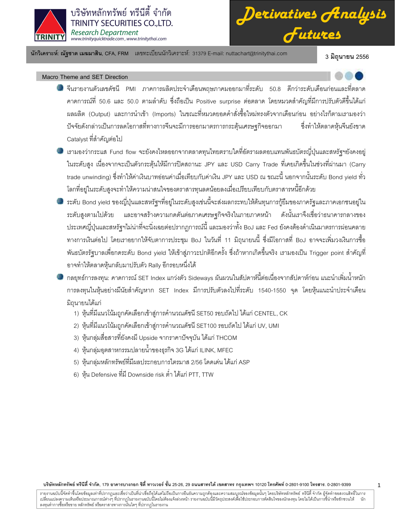

*Derivatives Analysis Futures*

นักวิเคราะห์: ณัฐชาต เมฆมาสิน, CFA, FRM แลขทะเบียนนักวิเคราะห์: 31379 E-mail: nuttachart@trinitythai.com 3 มิถุนายน 2556

### Macro Theme and SET Direction

- จีนรายงานตัวเลขดัชนี PMI ภาคการผลิตประจำเดือนพฤษภาคมออกมาที่ระดับ 50.8 ดีกว่าระดับเดือนก่อนและที่ตลาด คาดการณ์ที่ 50.6 และ 50.0 ตามลำดับ ซึ่งถือเป็น Positive surprise ต่อตลาด โดยหมวดสำคัญที่มีการปรับตัวดีขึ้นได้แก่ ผลผลิต (Output) และการนำเข้า (Imports) ในขณะที่หมวดยอดคำสั่งซื้อใหม่ทรงตัวจากเดือนก่อน อย่างไรก็ตามเรามองว่า ปัจจัยดังกล่าวเป็นการลดโอกาสที่ทางการจีนจะมีการออกมาตรการกระตุ้นเศร ษฐกิจออกมา ซึ่งทำให้ตลาดหุ้นจีนยังขาด Catalyst ที่สำคัญต่อไป
- เรามองว่ากระแส Fund flow จะยังคงไหลออกจากตลาดทุนไทยตราบใดที่อัตราผลตอบแทนพันธบัตรญี่ปุ่นและสหรัฐฯยังคงอยู่ ในระดับสูง เนื่องจากจะเป็นตัวกระตุ้นให้มีการปิดสถานะ JPY และ USD Carry Trade ที่เคยเกิดขึ้นในช่วงที่ผ่านมา (Carry trade unwinding) ซึ่งทำให้ค่าเงินบาทอ่อนค่าเมื่อเทียบกับค่าเงิน JPY และ USD ณ ขณะนี้ นอกจากนั้นระดับ Bond yield ทั่ว โลกที่อยู่ในระดับสูงจะทำให้ความน่าสนใจของตราสารทุนลดน้อยลงเมื่อเปรียบเทียบกับตราสารหนี้อีกด้วย  $\overline{1}$
- ระดับ Bond yield ของญี่ปุ่นและสหรัฐฯที่อยู่ในระดับสูงเช่นนี้จะส่งผลกระทบให้ต้นทุนการกู้ยืมของภาครัฐและภาคเอกชนอยู่ใน ระดับสูงตามไปด้วย และอาจสร้างความกดดันต่อภาคเศรษฐกิจจริงในภายภาคหน้า ดังนั้นเร าจึงเชื่อว่าธนาคารกลางของ ประเทศญี่ปุ่นและสหรัฐฯไม่น่าที่จะนิ่งเฉยต่อปรากฏการณ์นี้ และมองว่าทั้ง BoJ และ Fed ยังคงต้องดำเนินมาตรการผ่อนคลาย ทางการเงินต่อไป โดยเราอยากให้จับตาการประชุม BoJ ในวันที่ 11 มิถุนายนนี้ ซึ่งมีโอกาสที่ BoJ อาจจะเพิ่มวงเงินการซื้อ พันธบัตรรัฐบาลเพื่อกดระดับ Bond yield ให้เข้าสู่ภาวะปกติอีกครั้ง ซึ่งถ้าหากเกิดขึ้นจริง เรามองเป็น Trigger point สำคัญที่ อาจทำให้ตลาดหุ้นกลับมาปรับตัว Rally อีกรอบหนึ่งได้

กลยุทธ์การลงทุน: คาดการณ์ SET Index แกว่งตัว Sideways ผันผวนในสัปดาห์นี้ต่อเนื่องจากสัปดาห์ก่อน แนะนำเพิ่มน้ำหนัก การลงทุนในหุ้นอย่างมีนัยสำคัญหาก SET Index มีการปรับตัวลงไปที่ระดับ 1540-1550 จุด โดยหุ้นแนะนำประจำเดือน มิถุนายนได้แก่

- 1) หุ้นที่มีแนวโน้มถูกคัดเลือกเข้าสู่การคำนวณดัชนี SET50 รอบถัดไป ได้แก่ CENTEL, CK
- 2) หุ้นที่มีแนวโน้มถูกคัดเลือกเข้าสู่การคำนวณดัชนี SET100 รอบถัดไป ได้แก่ UV, UMI
- 3) หุ้นกลุ่มสื่อสารที่ยังคงมี Upside จากราคาปัจจุบัน ได้แก่ THCOM
- 4) หุ้นกลุ่มอุตสาหกรรมปลายน้ำของธุรกิจ 3G ได้แก่ ILINK, MFEC
- 5) หุ้นกลุ่มหลักทรัพย์ที่มีผลประกอบการไตรมาส 2/56 โดดเด่น ได้แก่ ASP
- 6) หุ้น Defensive ที่มี Downside risk ต่ำ ได้แก่ PTT, TTW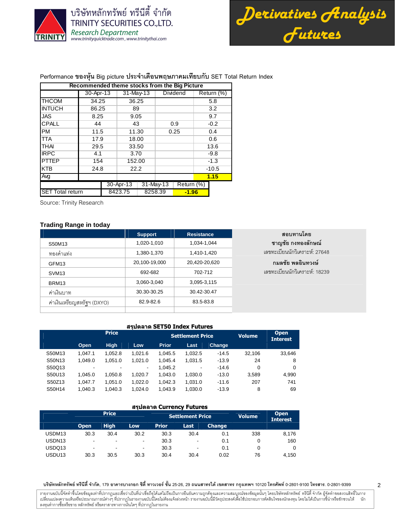

บริษัทหลักทรัพย์ ทรีนีตี้ จำกัด TRINITY SECURITIES CO., LTD. Research Department<br>www.trinityquicktrade.com, www.trinitythai.com

*Derivatives Analysis Futures*

สอบทานโดย ชาญชัย กงทองลักษณ์ เลขทะเบียนนักวิเคราะห์: 27648

กมลชัย พลอินทวงษ์ เลขทะเบียนนักวิเคราะห์: 18239

# Performance ของหุ้น Big picture ประจำเดือนพฤษภาคมเทียบกับ SET Total Return Index

|                         | Recommended theme stocks from the Big Picture |         |             |  |              |            |            |         |
|-------------------------|-----------------------------------------------|---------|-------------|--|--------------|------------|------------|---------|
|                         | 30-Apr-13                                     |         | $31-May-13$ |  |              | Dividend   | Return (%) |         |
| <b>THCOM</b>            | 34.25                                         |         | 36.25       |  |              |            |            | 5.8     |
| <b>INTUCH</b>           | 86.25                                         |         | 89          |  |              |            |            | 3.2     |
| <b>JAS</b>              | 8.25                                          |         | 9.05        |  |              |            |            | 9.7     |
| CPALL                   | 44                                            |         | 43          |  |              | 0.9        |            | $-0.2$  |
| <b>PM</b>               | 11.5                                          |         | 11.30       |  |              | 0.25       |            | 0.4     |
| <b>TTA</b>              | 17.9                                          |         | 18.00       |  |              |            |            | 0.6     |
| <b>THAI</b>             | 29.5                                          |         | 33.50       |  |              |            |            | 13.6    |
| <b>IRPC</b>             | 4.1                                           |         | 3.70        |  |              |            |            | $-9.8$  |
| <b>PTTEP</b>            | 154                                           |         | 152.00      |  |              |            |            | $-1.3$  |
| <b>KTB</b>              | 24.8                                          |         | 22.2        |  |              |            |            | $-10.5$ |
| Ava                     |                                               |         |             |  |              |            |            | 1.15    |
|                         |                                               |         | 30-Apr-13   |  | $31$ -May-13 | Return (%) |            |         |
| <b>SET Total return</b> |                                               | 8423.75 |             |  | 8258.39      | $-1.96$    |            |         |

Source: Trinity Research

## **Trading Range in today**

|                            | <b>Support</b> | <b>Resistance</b> |
|----------------------------|----------------|-------------------|
| S50M13                     | 1,020-1,010    | 1.034-1.044       |
| ทองคำแท่ง                  | 1,380-1,370    | 1,410-1,420       |
| GFM <sub>13</sub>          | 20,100-19,000  | 20,420-20,620     |
| SVM <sub>13</sub>          | 692-682        | 702-712           |
| BRM <sub>13</sub>          | 3,060-3,040    | 3,095-3,115       |
| ค่าเงินบาท                 | 30.30-30.25    | 30.42-30.47       |
| ค่าเงินเหรียญสหรัฐฯ (DXYO) | 82.9-82.6      | 83.5-83.8         |
|                            |                |                   |

#### สรุปตลาด SET50 Index Futures

|        |         | <b>Price</b> |         |              | <b>Settlement Price</b> | <b>Volume</b> | <b>Open</b><br><b>Interest</b> |          |
|--------|---------|--------------|---------|--------------|-------------------------|---------------|--------------------------------|----------|
|        | Open    | <b>High</b>  | Low     | <b>Prior</b> | Last                    | Change        |                                |          |
| S50M13 | 1.047.1 | 1.052.8      | 1.021.6 | 1.045.5      | 1.032.5                 | $-14.5$       | 32.106                         | 33,646   |
| S50N13 | 1.049.0 | 1.051.0      | 1.021.0 | 1.045.4      | 1.031.5                 | $-13.9$       | 24                             | 8        |
| S50Q13 | ۰.      | ۰            | ۰.      | 1.045.2      |                         | $-14.6$       | 0                              | $\Omega$ |
| S50U13 | 1.045.0 | 1.050.8      | 1.020.7 | 1.043.0      | 1.030.0                 | $-13.0$       | 3.589                          | 4.990    |
| S50Z13 | 1.047.7 | 1.051.0      | 1.022.0 | 1.042.3      | 1.031.0                 | $-11.6$       | 207                            | 741      |
| S50H14 | 1.040.3 | 1.040.3      | 1.024.0 | 1.043.9      | 1.030.0                 | $-13.9$       | 8                              | 69       |

### สรุปตลาด Currency Futures

|                    |             | <b>Price</b>             |            |              | <b>Settlement Price</b> | <b>Volume</b> | <b>Open</b><br><b>Interest</b> |       |
|--------------------|-------------|--------------------------|------------|--------------|-------------------------|---------------|--------------------------------|-------|
|                    | <b>Open</b> | <b>High</b>              | <b>Low</b> | <b>Prior</b> | <b>Last</b>             | <b>Change</b> |                                |       |
| USDM <sub>13</sub> | 30.3        | 30.4                     | 30.2       | 30.3         | 30.4                    | 0.1           | 338                            | 8,176 |
| USDN <sub>13</sub> | -           | $\overline{\phantom{0}}$ | ٠          | 30.3         | ٠                       | 0.1           |                                | 160   |
| USDQ13             | -           | ۰                        | ۰          | 30.3         | ٠                       | 0.1           |                                |       |
| USDU <sub>13</sub> | 30.3        | 30.5                     | 30.3       | 30.4         | 30.4                    | 0.02          | 76                             | 4.150 |

บริษัทหลักทรัพย์ ทรีนีตี้ จำกัด, 179 อาคารบางกอก ซิตี้ ทาวเวอร์ ชั้น 25-26, 29 ถนนสาทรได้ เขตสาร กรุงเทพฯ 10120 โทรศัพท์ 0-2801-9399 คำสาร. 0-2801-9399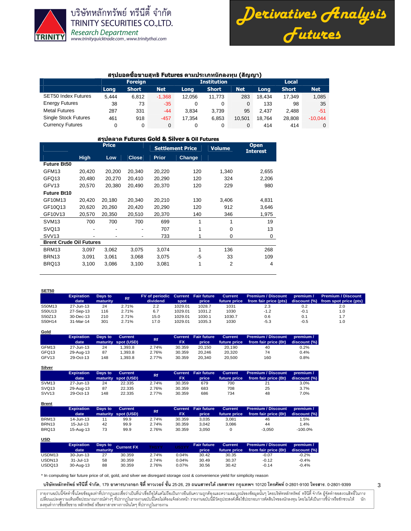

**Gold**

**Silver**

**Brent**

บริษัทหลักทรัพย์ ทรีนีตี้ จำกัด **TRINITY SECURITIES CO., LTD. Research Department** www.trinityquicktrade.com, www.trinitythai.com



### ี่สรุปยอดชื้อขายสุทธิ Futures ตามประเภทนักลงทุน (สัญญา)

|                             |       |                |            |                    |              |            | .      |              |            |  |  |
|-----------------------------|-------|----------------|------------|--------------------|--------------|------------|--------|--------------|------------|--|--|
|                             |       | <b>Foreign</b> |            | <b>Institution</b> |              |            |        | <b>Local</b> |            |  |  |
|                             | Long  | <b>Short</b>   | <b>Net</b> | Long               | <b>Short</b> | <b>Net</b> | Long   | <b>Short</b> | <b>Net</b> |  |  |
| <b>SET50 Index Futures</b>  | 5.444 | 6.812          | $-1,368$   | 12.056             | 11.773       | 283        | 18.434 | 17.349       | 1,085      |  |  |
| <b>Energy Futures</b>       | 38    | 73             | $-35$      | 0                  | 0            |            | 133    | 98           | 35         |  |  |
| <b>Metal Futures</b>        | 287   | 331            | $-44$      | 3.834              | 3.739        | 95         | 2.437  | 2.488        | -51        |  |  |
| <b>Single Stock Futures</b> | 461   | 918            | $-457$     | 17.354             | 6,853        | 10.501     | 18.764 | 28.808       | $-10,044$  |  |  |
| <b>Currency Futures</b>     |       | 0              | $\Omega$   |                    |              |            | 414    | 414          |            |  |  |

#### สรุปตลาด Futures Gold & Silver & Oil Futures

|                                |             | <b>Price</b> |              |              | <b>Settlement Price</b> | <b>Volume</b> | <b>Open</b><br><b>Interest</b> |
|--------------------------------|-------------|--------------|--------------|--------------|-------------------------|---------------|--------------------------------|
|                                | <b>High</b> | Low          | <b>Close</b> | <b>Prior</b> | Change                  |               |                                |
| <b>Future Bt50</b>             |             |              |              |              |                         |               |                                |
| GFM13                          | 20,420      | 20,200       | 20,340       | 20,220       | 120                     | 1,340         | 2,655                          |
| GFQ13                          | 20,480      | 20,270       | 20,410       | 20,290       | 120                     | 324           | 2,206                          |
| GFV <sub>13</sub>              | 20,570      | 20,380       | 20,490       | 20,370       | 120                     | 229           | 980                            |
| <b>Future Bt10</b>             |             |              |              |              |                         |               |                                |
| GF10M13                        | 20,420      | 20,180       | 20,340       | 20,210       | 130                     | 3,406         | 4,831                          |
| GF10Q13                        | 20,620      | 20,260       | 20,420       | 20,290       | 120                     | 912           | 3,646                          |
| GF10V13                        | 20,570      | 20,350       | 20,510       | 20,370       | 140                     | 346           | 1,975                          |
| SVM <sub>13</sub>              | 700         | 700          | 700          | 699          | 1                       | 1             | 19                             |
| SVQ <sub>13</sub>              |             |              |              | 707          |                         | 0             | 13                             |
| SVV <sub>13</sub>              |             |              | ۰            | 733          |                         | $\mathbf 0$   | 0                              |
| <b>Brent Crude Oil Futures</b> |             |              |              |              |                         |               |                                |
| BRM13                          | 3,097       | 3,062        | 3,075        | 3,074        | 1                       | 136           | 268                            |
| BRN <sub>13</sub>              | 3,091       | 3,061        | 3,068        | 3,075        | -5                      | 33            | 109                            |
| BRQ13                          | 3,100       | 3,086        | 3,100        | 3,081        | 1                       | 2             | 4                              |
|                                |             |              |              |              |                         |               |                                |

| <b>SET50</b> |                           |                     |           |                                                |         |        |         |                                                          |           |                                                          |
|--------------|---------------------------|---------------------|-----------|------------------------------------------------|---------|--------|---------|----------------------------------------------------------|-----------|----------------------------------------------------------|
|              | <b>Expiration</b><br>date | Days to<br>maturity | <b>Rf</b> | FV of periodic Current Fair future<br>dividend | spot    | price  | Current | Premium / Discount<br>future price from fair price (pts) | premium / | Premium / Discount<br>discount (%) from spot price (pts) |
| S50M13       | 27-Jun-13                 | 24                  | 2.71%     | 2.2                                            | 1029.01 | 1028.7 | 1031    | 2.3                                                      | 0.2       | 2.0                                                      |
| S50U13       | 27-Sep-13                 | 116                 | 2.71%     | 6.7                                            | 1029.01 | 1031.2 | 1030    | $-1.2$                                                   | $-0.1$    | 1.0                                                      |
| S50Z13       | 30-Dec-13                 | 210                 | 2.71%     | 15.0                                           | 1029.01 | 1030.1 | 1030.7  | 0.6                                                      | 0.1       | 1.7                                                      |
| S50H14       | 31-Mar-14                 | 301                 | 2.71%     | 17.0                                           | 1029.01 | 1035.3 | 1030    | $-5.3$                                                   | $-0.5$    | 1.0                                                      |

|                   | <b>Expiration</b><br>date | Days to | Current<br>maturity spot (USD) | <b>Rf</b> | <b>FX</b> | Current Fair future<br>price | <b>Current</b><br>future price | <b>Premium / Discount</b><br>from fair price (Bt) | premium /<br>discount (%) |
|-------------------|---------------------------|---------|--------------------------------|-----------|-----------|------------------------------|--------------------------------|---------------------------------------------------|---------------------------|
| GFM13             | 27-Jun-13                 | 24      | .393.8                         | 2.74%     | 30.359    | 20.150                       | 20.190                         | 40                                                | 0.2%                      |
| GFQ13             | 29-Aug-13                 | 87      | .393.8                         | 2.76%     | 30.359    | 20.246                       | 20,320                         | 74                                                | 0.4%                      |
| GFV <sub>13</sub> | 29-Oct-13                 | 148     | .393.8                         | 2.77%     | 30.359    | 20.340                       | 20.500                         | 160                                               | 0.8%                      |

|                   | <b>Expiration</b><br>date | Days to | <b>Current</b><br>maturity spot (USD) | Rf.   | <b>FX</b> | Current Fair future<br>price | <b>Current</b><br>future price | <b>Premium / Discount</b><br>from fair price (Bt) | premium /<br>discount (%) |
|-------------------|---------------------------|---------|---------------------------------------|-------|-----------|------------------------------|--------------------------------|---------------------------------------------------|---------------------------|
| SVM <sub>13</sub> | 27-Jun-13                 | 24      | 22.335                                | 2.74% | 30.359    | 679                          | 700                            |                                                   | 3.0%                      |
| SVQ <sub>13</sub> | 29-Aug-13                 | 87      | 22.335                                | 2.76% | 30.359    | 683                          | 708                            | 25                                                | 3.7%                      |
| SVV <sub>13</sub> | 29-Oct-13                 | 148     | 22.335                                | 2.77% | 30.359    | 686                          | 734                            | 48                                                | 7.0%                      |

| <u>en en c</u>    |                           |         |                                |           |           |                              |                         |                                            |                           |
|-------------------|---------------------------|---------|--------------------------------|-----------|-----------|------------------------------|-------------------------|--------------------------------------------|---------------------------|
|                   | <b>Expiration</b><br>date | Days to | Current<br>maturity spot (USD) | <b>Rf</b> | <b>FX</b> | Current Fair future<br>price | Current<br>future price | Premium / Discount<br>from fair price (Bt) | premium /<br>discount (%) |
| BRM13             | 14-Jun-13                 |         | 99.9                           | 2.74%     | 30.359    | 3.035                        | 3.081                   | 46                                         | 1.5%                      |
| BRN <sub>13</sub> | $15 -$ Jul-13             | 42      | 99.9                           | 2.74%     | 30.359    | 3.042                        | 3.086                   | 44                                         | 1.4%                      |
| BRQ13             | 15-Aug-13                 | 73      | 99.9                           | 2.76%     | 30.359    | 3.050                        |                         | $-3.050$                                   | $-100.0%$                 |

| <u>USD</u>         |                   |          |                    |       |       |                    |                |                           |              |
|--------------------|-------------------|----------|--------------------|-------|-------|--------------------|----------------|---------------------------|--------------|
|                    | <b>Expiration</b> |          | Days to Current FX | TH1YY | US1YY | <b>Fair future</b> | <b>Current</b> | <b>Premium / Discount</b> | premium /    |
|                    | date              | maturity |                    |       |       | price              | future price   | from fair price (Bt)      | discount (%) |
| USDM13             | 30-Jun-13         | 27       | 30.359             | 2.74% | 0.04% | 30.42              | 30.35          | $-0.07$                   | $-0.2%$      |
| USDN <sub>13</sub> | 31-Jul-13         | 58       | 30.359             | 2.74% | 0.04% | 30.49              | 30.37          | $-0.12$                   | $-0.4%$      |
| USDQ13             | 30-Aug-13         | 88       | 30.359             | 2.76% | 0.07% | 30.56              | 30.42          | $-0.14$                   | $-0.4%$      |

\* In computing fair future price of oil, gold, and silver we disregard storage cost & convenience yield for simplicity reason

บริษัทหลักทรัพย์ ทรีนีตี้ จำกัด, 179 อาคารบางกอก ซิตี้ ทาวเวอร์ ชั้น 25-26, 29 ถนนสาทรได้ เขตสาร กรุงเทพฯ 10120 โทรศัพท์ 0-2801-9399 คำสาร. 0-2801-9399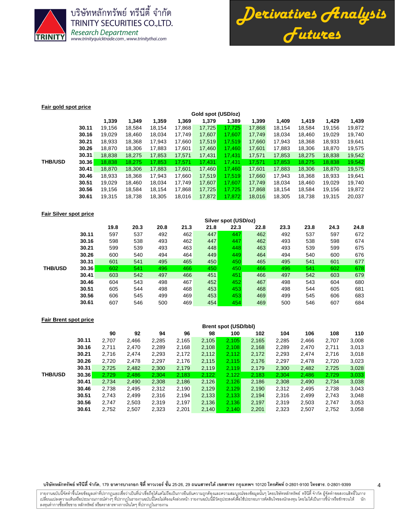

บริษัทหลักทรัพย์ ทรีนีตี้ จำกัด **TRINITY SECURITIES CO., LTD.** Research Department<br>www.trinityquicktrade.com, www.trinitythai.com



### **Fair gold spot price**

|                |       |        | Gold spot (USD/oz) |        |        |        |        |        |        |        |        |        |  |  |
|----------------|-------|--------|--------------------|--------|--------|--------|--------|--------|--------|--------|--------|--------|--|--|
|                |       | 1,339  | 1.349              | 1.359  | 1,369  | 1,379  | 1.389  | 1.399  | 1,409  | 1.419  | 1,429  | 1,439  |  |  |
|                | 30.11 | 19,156 | 18.584             | 18.154 | 17.868 | 17,725 | 17.725 | 17,868 | 18.154 | 18.584 | 19.156 | 19,872 |  |  |
|                | 30.16 | 19,029 | 18.460             | 18,034 | 17.749 | 17,607 | 17.607 | 17,749 | 18.034 | 18.460 | 19,029 | 19,740 |  |  |
|                | 30.21 | 18,933 | 18,368             | 17.943 | 17,660 | 17,519 | 17.519 | 17.660 | 17.943 | 18,368 | 18,933 | 19,641 |  |  |
|                | 30.26 | 18.870 | 18.306             | 17,883 | 17.601 | 17,460 | 17.460 | 17.601 | 17.883 | 18.306 | 18.870 | 19,575 |  |  |
|                | 30.31 | 18,838 | 18,275             | 17,853 | 17,571 | 17,431 | 17,431 | 17,571 | 17,853 | 18,275 | 18,838 | 19,542 |  |  |
| <b>THB/USD</b> | 30.36 | 18.838 | 18.275             | 17.853 | 17.571 | 17.431 | 17,431 | 17.571 | 17.853 | 18.275 | 18,838 | 19,542 |  |  |
|                | 30.41 | 18.870 | 18,306             | 17,883 | 17,601 | 17,460 | 17.460 | 17.601 | 17,883 | 18,306 | 18,870 | 19,575 |  |  |
|                | 30.46 | 18,933 | 18,368             | 17.943 | 17,660 | 17.519 | 17.519 | 17.660 | 17.943 | 18,368 | 18,933 | 19,641 |  |  |
|                | 30.51 | 19,029 | 18,460             | 18,034 | 17,749 | 17,607 | 17,607 | 17,749 | 18,034 | 18,460 | 19,029 | 19,740 |  |  |
|                | 30.56 | 19,156 | 18.584             | 18,154 | 17,868 | 17,725 | 17.725 | 17,868 | 18.154 | 18,584 | 19,156 | 19,872 |  |  |
|                | 30.61 | 19,315 | 18,738             | 18,305 | 18,016 | 17,872 | 17,872 | 18,016 | 18,305 | 18,738 | 19,315 | 20,037 |  |  |
|                |       |        |                    |        |        |        |        |        |        |        |        |        |  |  |

#### **Fair Silver spot price**

|                |       | Silver spot (USD/02) |      |      |      |      |      |      |      |      |      |      |
|----------------|-------|----------------------|------|------|------|------|------|------|------|------|------|------|
|                |       | 19.8                 | 20.3 | 20.8 | 21.3 | 21.8 | 22.3 | 22.8 | 23.3 | 23.8 | 24.3 | 24.8 |
|                | 30.11 | 597                  | 537  | 492  | 462  | 447  | 447  | 462  | 492  | 537  | 597  | 672  |
|                | 30.16 | 598                  | 538  | 493  | 462  | 447  | 447  | 462  | 493  | 538  | 598  | 674  |
|                | 30.21 | 599                  | 539  | 493  | 463  | 448  | 448  | 463  | 493  | 539  | 599  | 675  |
|                | 30.26 | 600                  | 540  | 494  | 464  | 449  | 449  | 464  | 494  | 540  | 600  | 676  |
|                | 30.31 | 601                  | 541  | 495  | 465  | 450  | 450  | 465  | 495  | 541  | 601  | 677  |
| <b>THB/USD</b> | 30.36 | 602                  | 541  | 496  | 466  | 450  | 450  | 466  | 496  | 541  | 602  | 678  |
|                | 30.41 | 603                  | 542  | 497  | 466  | 451  | 451  | 466  | 497  | 542  | 603  | 679  |
|                | 30.46 | 604                  | 543  | 498  | 467  | 452  | 452  | 467  | 498  | 543  | 604  | 680  |
|                | 30.51 | 605                  | 544  | 498  | 468  | 453  | 453  | 468  | 498  | 544  | 605  | 681  |
|                | 30.56 | 606                  | 545  | 499  | 469  | 453  | 453  | 469  | 499  | 545  | 606  | 683  |
|                | 30.61 | 607                  | 546  | 500  | 469  | 454  | 454  | 469  | 500  | 546  | 607  | 684  |
|                |       |                      |      |      |      |      |      |      |      |      |      |      |

**Silver spot (USD/oz)**

| <b>Fair Brent spot price</b> |       |                             |       |       |       |       |       |       |       |       |       |       |
|------------------------------|-------|-----------------------------|-------|-------|-------|-------|-------|-------|-------|-------|-------|-------|
|                              |       | <b>Brent spot (USD/bbl)</b> |       |       |       |       |       |       |       |       |       |       |
|                              |       | 90                          | 92    | 94    | 96    | 98    | 100   | 102   | 104   | 106   | 108   | 110   |
|                              | 30.11 | 2.707                       | 2.466 | 2,285 | 2,165 | 2,105 | 2.105 | 2,165 | 2.285 | 2.466 | 2,707 | 3,008 |
|                              | 30.16 | 2.711                       | 2.470 | 2,289 | 2,168 | 2,108 | 2.108 | 2,168 | 2,289 | 2,470 | 2,711 | 3,013 |
|                              | 30.21 | 2.716                       | 2.474 | 2,293 | 2,172 | 2,112 | 2.112 | 2,172 | 2,293 | 2.474 | 2,716 | 3,018 |
|                              | 30.26 | 2,720                       | 2.478 | 2,297 | 2,176 | 2,115 | 2.115 | 2,176 | 2,297 | 2.478 | 2,720 | 3,023 |
|                              | 30.31 | 2,725                       | 2,482 | 2,300 | 2,179 | 2,119 | 2,119 | 2,179 | 2,300 | 2,482 | 2,725 | 3,028 |
| <b>THB/USD</b>               | 30.36 | 2.729                       | 2.486 | 2.304 | 2.183 | 2,122 | 2.122 | 2.183 | 2.304 | 2.486 | 2.729 | 3,033 |
|                              | 30.41 | 2,734                       | 2,490 | 2,308 | 2,186 | 2,126 | 2,126 | 2,186 | 2,308 | 2,490 | 2,734 | 3,038 |
|                              | 30.46 | 2.738                       | 2,495 | 2,312 | 2,190 | 2,129 | 2,129 | 2,190 | 2,312 | 2,495 | 2,738 | 3,043 |
|                              | 30.51 | 2.743                       | 2.499 | 2,316 | 2.194 | 2,133 | 2.133 | 2.194 | 2.316 | 2.499 | 2,743 | 3,048 |
|                              | 30.56 | 2.747                       | 2,503 | 2,319 | 2,197 | 2,136 | 2.136 | 2,197 | 2.319 | 2,503 | 2,747 | 3,053 |
|                              | 30.61 | 2,752                       | 2,507 | 2,323 | 2,201 | 2,140 | 2.140 | 2,201 | 2,323 | 2,507 | 2,752 | 3,058 |

#### บริษัทหลักทรัพย์ ทรีนีตี้ จำกัด, 179 อาคารบางกอก ซิตี้ ทาวเวอร์ ชั้น 25-26, 29 ถนนสาทรได้ เขตสาร กรุงเทพฯ 10120 โทรศัพท์ 0-2801-9399 คำสาร. 0-2801-9399